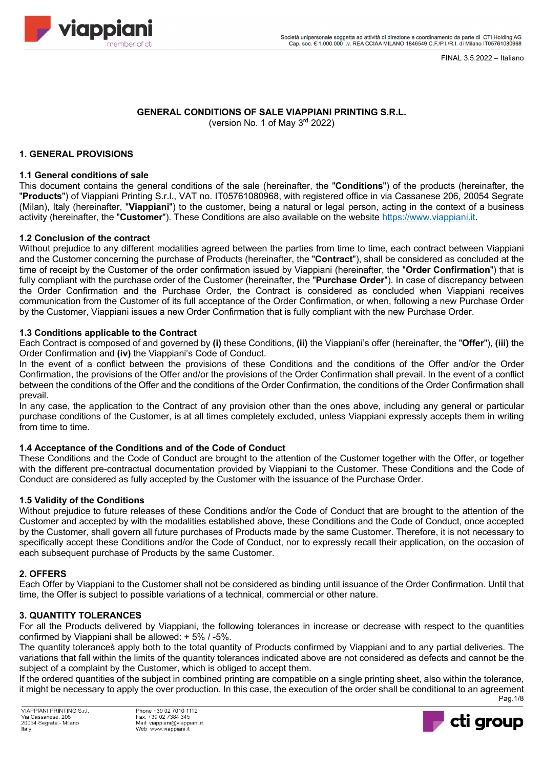FINAL 3.5.2022 – Italiano



### **GENERAL CONDITIONS OF SALE VIAPPIANI PRINTING S.R.L.** (version No. 1 of May  $3<sup>rd</sup>$  2022)

# **1. GENERAL PROVISIONS**

# **1.1 General conditions of sale**

This document contains the general conditions of the sale (hereinafter, the "**Conditions**") of the products (hereinafter, the "**Products**") of Viappiani Printing S.r.l., VAT no. IT05761080968, with registered office in via Cassanese 206, 20054 Segrate (Milan), Italy (hereinafter, "**Viappiani**") to the customer, being a natural or legal person, acting in the context of a business activity (hereinafter, the "**Customer**"). These Conditions are also available on the website https://www.viappiani.it.

# **1.2 Conclusion of the contract**

Without prejudice to any different modalities agreed between the parties from time to time, each contract between Viappiani and the Customer concerning the purchase of Products (hereinafter, the "**Contract**"), shall be considered as concluded at the time of receipt by the Customer of the order confirmation issued by Viappiani (hereinafter, the "**Order Confirmation**") that is fully compliant with the purchase order of the Customer (hereinafter, the "**Purchase Order**"). In case of discrepancy between the Order Confirmation and the Purchase Order, the Contract is considered as concluded when Viappiani receives communication from the Customer of its full acceptance of the Order Confirmation, or when, following a new Purchase Order by the Customer, Viappiani issues a new Order Confirmation that is fully compliant with the new Purchase Order.

# **1.3 Conditions applicable to the Contract**

Each Contract is composed of and governed by **(i)** these Conditions, **(ii)** the Viappiani's offer (hereinafter, the "**Offer**"), **(iii)** the Order Confirmation and **(iv)** the Viappiani's Code of Conduct.

In the event of a conflict between the provisions of these Conditions and the conditions of the Offer and/or the Order Confirmation, the provisions of the Offer and/or the provisions of the Order Confirmation shall prevail. In the event of a conflict between the conditions of the Offer and the conditions of the Order Confirmation, the conditions of the Order Confirmation shall prevail.

In any case, the application to the Contract of any provision other than the ones above, including any general or particular purchase conditions of the Customer, is at all times completely excluded, unless Viappiani expressly accepts them in writing from time to time.

# **1.4 Acceptance of the Conditions and of the Code of Conduct**

These Conditions and the Code of Conduct are brought to the attention of the Customer together with the Offer, or together with the different pre-contractual documentation provided by Viappiani to the Customer. These Conditions and the Code of Conduct are considered as fully accepted by the Customer with the issuance of the Purchase Order.

# **1.5 Validity of the Conditions**

Without prejudice to future releases of these Conditions and/or the Code of Conduct that are brought to the attention of the Customer and accepted by with the modalities established above, these Conditions and the Code of Conduct, once accepted by the Customer, shall govern all future purchases of Products made by the same Customer. Therefore, it is not necessary to specifically accept these Conditions and/or the Code of Conduct, nor to expressly recall their application, on the occasion of each subsequent purchase of Products by the same Customer.

# **2. OFFERS**

Each Offer by Viappiani to the Customer shall not be considered as binding until issuance of the Order Confirmation. Until that time, the Offer is subject to possible variations of a technical, commercial or other nature.

# **3. QUANTITY TOLERANCES**

For all the Products delivered by Viappiani, the following tolerances in increase or decrease with respect to the quantities confirmed by Viappiani shall be allowed: + 5% / -5%.

The quantity tolerances̀ apply both to the total quantity of Products confirmed by Viappiani and to any partial deliveries. The variations that fall within the limits of the quantity tolerances indicated above are not considered as defects and cannot be the subject of a complaint by the Customer, which is obliged to accept them.

Pag.1/8 If the ordered quantities of the subject in combined printing are compatible on a single printing sheet, also within the tolerance, it might be necessary to apply the over production. In this case, the execution of the order shall be conditional to an agreement

VIAPPIANI PRINTING S r I Via Cassanese, 206<br>20054 Segrate - Milano Italy

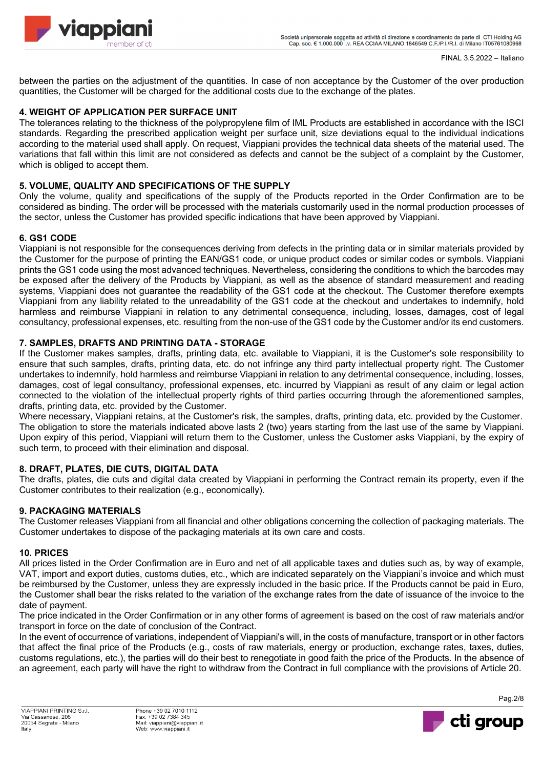

between the parties on the adjustment of the quantities. In case of non acceptance by the Customer of the over production quantities, the Customer will be charged for the additional costs due to the exchange of the plates.

# **4. WEIGHT OF APPLICATION PER SURFACE UNIT**

The tolerances relating to the thickness of the polypropylene film of IML Products are established in accordance with the ISCI standards. Regarding the prescribed application weight per surface unit, size deviations equal to the individual indications according to the material used shall apply. On request, Viappiani provides the technical data sheets of the material used. The variations that fall within this limit are not considered as defects and cannot be the subject of a complaint by the Customer, which is obliged to accept them.

# **5. VOLUME, QUALITY AND SPECIFICATIONS OF THE SUPPLY**

Only the volume, quality and specifications of the supply of the Products reported in the Order Confirmation are to be considered as binding. The order will be processed with the materials customarily used in the normal production processes of the sector, unless the Customer has provided specific indications that have been approved by Viappiani.

# **6. GS1 CODE**

Viappiani is not responsible for the consequences deriving from defects in the printing data or in similar materials provided by the Customer for the purpose of printing the EAN/GS1 code, or unique product codes or similar codes or symbols. Viappiani prints the GS1 code using the most advanced techniques. Nevertheless, considering the conditions to which the barcodes may be exposed after the delivery of the Products by Viappiani, as well as the absence of standard measurement and reading systems, Viappiani does not guarantee the readability of the GS1 code at the checkout. The Customer therefore exempts Viappiani from any liability related to the unreadability of the GS1 code at the checkout and undertakes to indemnify, hold harmless and reimburse Viappiani in relation to any detrimental consequence, including, losses, damages, cost of legal consultancy, professional expenses, etc. resulting from the non-use of the GS1 code by the Customer and/or its end customers.

# **7. SAMPLES, DRAFTS AND PRINTING DATA - STORAGE**

If the Customer makes samples, drafts, printing data, etc. available to Viappiani, it is the Customer's sole responsibility to ensure that such samples, drafts, printing data, etc. do not infringe any third party intellectual property right. The Customer undertakes to indemnify, hold harmless and reimburse Viappiani in relation to any detrimental consequence, including, losses, damages, cost of legal consultancy, professional expenses, etc. incurred by Viappiani as result of any claim or legal action connected to the violation of the intellectual property rights of third parties occurring through the aforementioned samples, drafts, printing data, etc. provided by the Customer.

Where necessary, Viappiani retains, at the Customer's risk, the samples, drafts, printing data, etc. provided by the Customer. The obligation to store the materials indicated above lasts 2 (two) years starting from the last use of the same by Viappiani. Upon expiry of this period, Viappiani will return them to the Customer, unless the Customer asks Viappiani, by the expiry of such term, to proceed with their elimination and disposal.

# **8. DRAFT, PLATES, DIE CUTS, DIGITAL DATA**

The drafts, plates, die cuts and digital data created by Viappiani in performing the Contract remain its property, even if the Customer contributes to their realization (e.g., economically).

# **9. PACKAGING MATERIALS**

The Customer releases Viappiani from all financial and other obligations concerning the collection of packaging materials. The Customer undertakes to dispose of the packaging materials at its own care and costs.

# **10. PRICES**

All prices listed in the Order Confirmation are in Euro and net of all applicable taxes and duties such as, by way of example, VAT, import and export duties, customs duties, etc., which are indicated separately on the Viappiani's invoice and which must be reimbursed by the Customer, unless they are expressly included in the basic price. If the Products cannot be paid in Euro, the Customer shall bear the risks related to the variation of the exchange rates from the date of issuance of the invoice to the date of payment.

The price indicated in the Order Confirmation or in any other forms of agreement is based on the cost of raw materials and/or transport in force on the date of conclusion of the Contract.

In the event of occurrence of variations, independent of Viappiani's will, in the costs of manufacture, transport or in other factors that affect the final price of the Products (e.g., costs of raw materials, energy or production, exchange rates, taxes, duties, customs regulations, etc.), the parties will do their best to renegotiate in good faith the price of the Products. In the absence of an agreement, each party will have the right to withdraw from the Contract in full compliance with the provisions of Article 20.



Pag.2/8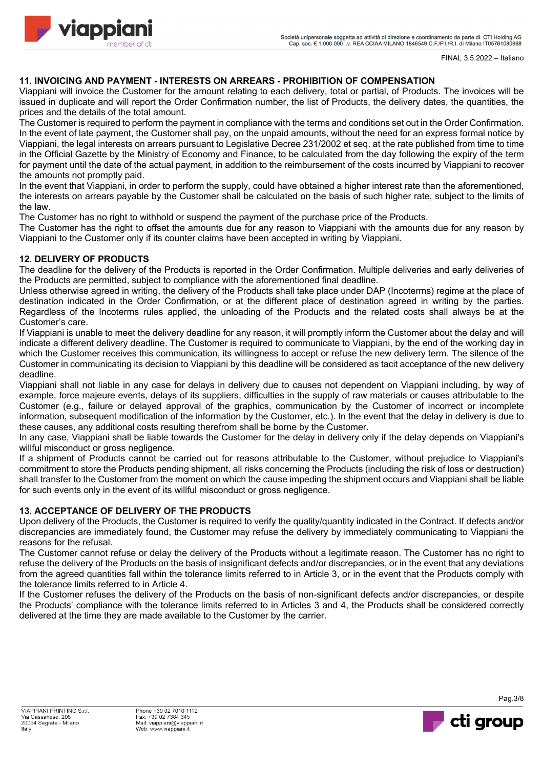

FINAL 3.5.2022 – Italiano

# **11. INVOICING AND PAYMENT - INTERESTS ON ARREARS - PROHIBITION OF COMPENSATION**

Viappiani will invoice the Customer for the amount relating to each delivery, total or partial, of Products. The invoices will be issued in duplicate and will report the Order Confirmation number, the list of Products, the delivery dates, the quantities, the prices and the details of the total amount.

The Customer is required to perform the payment in compliance with the terms and conditions set out in the Order Confirmation. In the event of late payment, the Customer shall pay, on the unpaid amounts, without the need for an express formal notice by Viappiani, the legal interests on arrears pursuant to Legislative Decree 231/2002 et seq. at the rate published from time to time in the Official Gazette by the Ministry of Economy and Finance, to be calculated from the day following the expiry of the term for payment until the date of the actual payment, in addition to the reimbursement of the costs incurred by Viappiani to recover the amounts not promptly paid.

In the event that Viappiani, in order to perform the supply, could have obtained a higher interest rate than the aforementioned, the interests on arrears payable by the Customer shall be calculated on the basis of such higher rate, subject to the limits of the law.

The Customer has no right to withhold or suspend the payment of the purchase price of the Products.

The Customer has the right to offset the amounts due for any reason to Viappiani with the amounts due for any reason by Viappiani to the Customer only if its counter claims have been accepted in writing by Viappiani.

# **12. DELIVERY OF PRODUCTS**

The deadline for the delivery of the Products is reported in the Order Confirmation. Multiple deliveries and early deliveries of the Products are permitted, subject to compliance with the aforementioned final deadline.

Unless otherwise agreed in writing, the delivery of the Products shall take place under DAP (Incoterms) regime at the place of destination indicated in the Order Confirmation, or at the different place of destination agreed in writing by the parties. Regardless of the Incoterms rules applied, the unloading of the Products and the related costs shall always be at the Customer's care.

If Viappiani is unable to meet the delivery deadline for any reason, it will promptly inform the Customer about the delay and will indicate a different delivery deadline. The Customer is required to communicate to Viappiani, by the end of the working day in which the Customer receives this communication, its willingness to accept or refuse the new delivery term. The silence of the Customer in communicating its decision to Viappiani by this deadline will be considered as tacit acceptance of the new delivery deadline.

Viappiani shall not liable in any case for delays in delivery due to causes not dependent on Viappiani including, by way of example, force majeure events, delays of its suppliers, difficulties in the supply of raw materials or causes attributable to the Customer (e.g., failure or delayed approval of the graphics, communication by the Customer of incorrect or incomplete information, subsequent modification of the information by the Customer, etc.). In the event that the delay in delivery is due to these causes, any additional costs resulting therefrom shall be borne by the Customer.

In any case, Viappiani shall be liable towards the Customer for the delay in delivery only if the delay depends on Viappiani's willful misconduct or gross negligence.

If a shipment of Products cannot be carried out for reasons attributable to the Customer, without prejudice to Viappiani's commitment to store the Products pending shipment, all risks concerning the Products (including the risk of loss or destruction) shall transfer to the Customer from the moment on which the cause impeding the shipment occurs and Viappiani shall be liable for such events only in the event of its willful misconduct or gross negligence.

# **13. ACCEPTANCE OF DELIVERY OF THE PRODUCTS**

Upon delivery of the Products, the Customer is required to verify the quality/quantity indicated in the Contract. If defects and/or discrepancies are immediately found, the Customer may refuse the delivery by immediately communicating to Viappiani the reasons for the refusal.

The Customer cannot refuse or delay the delivery of the Products without a legitimate reason. The Customer has no right to refuse the delivery of the Products on the basis of insignificant defects and/or discrepancies, or in the event that any deviations from the agreed quantities fall within the tolerance limits referred to in Article 3, or in the event that the Products comply with the tolerance limits referred to in Article 4.

If the Customer refuses the delivery of the Products on the basis of non-significant defects and/or discrepancies, or despite the Products' compliance with the tolerance limits referred to in Articles 3 and 4, the Products shall be considered correctly delivered at the time they are made available to the Customer by the carrier.



Pag.3/8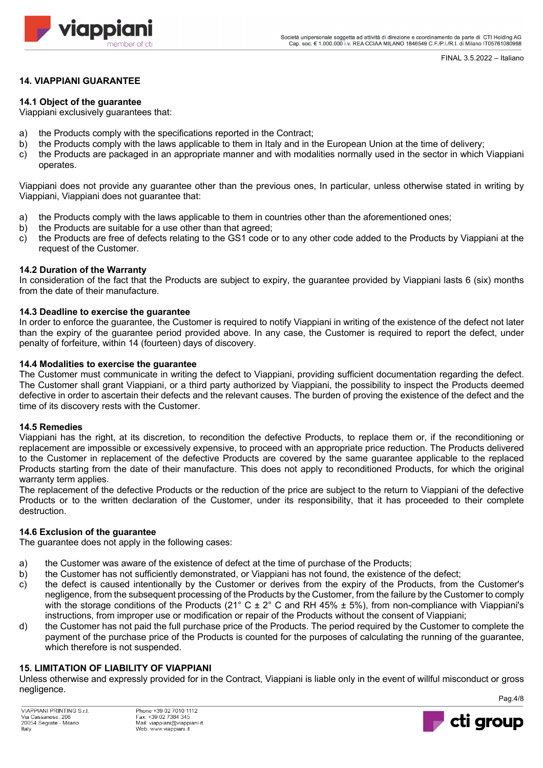

# **14. VIAPPIANI GUARANTEE**

## **14.1 Object of the guarantee**

Viappiani exclusively guarantees that:

- a) the Products comply with the specifications reported in the Contract;
- b) the Products comply with the laws applicable to them in Italy and in the European Union at the time of delivery;
- c) the Products are packaged in an appropriate manner and with modalities normally used in the sector in which Viappiani operates.

Viappiani does not provide any guarantee other than the previous ones, In particular, unless otherwise stated in writing by Viappiani, Viappiani does not guarantee that:

- a) the Products comply with the laws applicable to them in countries other than the aforementioned ones;
- b) the Products are suitable for a use other than that agreed;
- c) the Products are free of defects relating to the GS1 code or to any other code added to the Products by Viappiani at the request of the Customer.

### **14.2 Duration of the Warranty**

In consideration of the fact that the Products are subject to expiry, the guarantee provided by Viappiani lasts 6 (six) months from the date of their manufacture.

### **14.3 Deadline to exercise the guarantee**

In order to enforce the guarantee, the Customer is required to notify Viappiani in writing of the existence of the defect not later than the expiry of the guarantee period provided above. In any case, the Customer is required to report the defect, under penalty of forfeiture, within 14 (fourteen) days of discovery.

### **14.4 Modalities to exercise the guarantee**

The Customer must communicate in writing the defect to Viappiani, providing sufficient documentation regarding the defect. The Customer shall grant Viappiani, or a third party authorized by Viappiani, the possibility to inspect the Products deemed defective in order to ascertain their defects and the relevant causes. The burden of proving the existence of the defect and the time of its discovery rests with the Customer.

#### **14.5 Remedies**

Viappiani has the right, at its discretion, to recondition the defective Products, to replace them or, if the reconditioning or replacement are impossible or excessively expensive, to proceed with an appropriate price reduction. The Products delivered to the Customer in replacement of the defective Products are covered by the same guarantee applicable to the replaced Products starting from the date of their manufacture. This does not apply to reconditioned Products, for which the original warranty term applies.

The replacement of the defective Products or the reduction of the price are subject to the return to Viappiani of the defective Products or to the written declaration of the Customer, under its responsibility, that it has proceeded to their complete destruction.

#### **14.6 Exclusion of the guarantee**

The guarantee does not apply in the following cases:

- a) the Customer was aware of the existence of defect at the time of purchase of the Products;
- b) the Customer has not sufficiently demonstrated, or Viappiani has not found, the existence of the defect;
- c) the defect is caused intentionally by the Customer or derives from the expiry of the Products, from the Customer's negligence, from the subsequent processing of the Products by the Customer, from the failure by the Customer to comply with the storage conditions of the Products (21° C  $\pm$  2° C and RH 45%  $\pm$  5%), from non-compliance with Viappiani's instructions, from improper use or modification or repair of the Products without the consent of Viappiani;
- d) the Customer has not paid the full purchase price of the Products. The period required by the Customer to complete the payment of the purchase price of the Products is counted for the purposes of calculating the running of the guarantee, which therefore is not suspended.

# **15. LIMITATION OF LIABILITY OF VIAPPIANI**

Unless otherwise and expressly provided for in the Contract, Viappiani is liable only in the event of willful misconduct or gross negligence.



Pag.4/8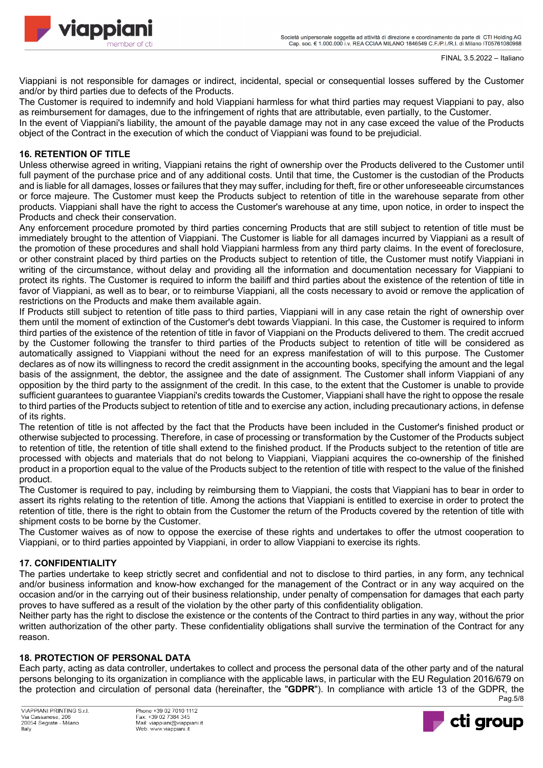

Viappiani is not responsible for damages or indirect, incidental, special or consequential losses suffered by the Customer and/or by third parties due to defects of the Products.

The Customer is required to indemnify and hold Viappiani harmless for what third parties may request Viappiani to pay, also as reimbursement for damages, due to the infringement of rights that are attributable, even partially, to the Customer.

In the event of Viappiani's liability, the amount of the payable damage may not in any case exceed the value of the Products object of the Contract in the execution of which the conduct of Viappiani was found to be prejudicial.

# **16. RETENTION OF TITLE**

Unless otherwise agreed in writing, Viappiani retains the right of ownership over the Products delivered to the Customer until full payment of the purchase price and of any additional costs. Until that time, the Customer is the custodian of the Products and is liable for all damages, losses or failures that they may suffer, including for theft, fire or other unforeseeable circumstances or force majeure. The Customer must keep the Products subject to retention of title in the warehouse separate from other products. Viappiani shall have the right to access the Customer's warehouse at any time, upon notice, in order to inspect the Products and check their conservation.

Any enforcement procedure promoted by third parties concerning Products that are still subject to retention of title must be immediately brought to the attention of Viappiani. The Customer is liable for all damages incurred by Viappiani as a result of the promotion of these procedures and shall hold Viappiani harmless from any third party claims. In the event of foreclosure, or other constraint placed by third parties on the Products subject to retention of title, the Customer must notify Viappiani in writing of the circumstance, without delay and providing all the information and documentation necessary for Viappiani to protect its rights. The Customer is required to inform the bailiff and third parties about the existence of the retention of title in favor of Viappiani, as well as to bear, or to reimburse Viappiani, all the costs necessary to avoid or remove the application of restrictions on the Products and make them available again.

If Products still subject to retention of title pass to third parties, Viappiani will in any case retain the right of ownership over them until the moment of extinction of the Customer's debt towards Viappiani. In this case, the Customer is required to inform third parties of the existence of the retention of title in favor of Viappiani on the Products delivered to them. The credit accrued by the Customer following the transfer to third parties of the Products subject to retention of title will be considered as automatically assigned to Viappiani without the need for an express manifestation of will to this purpose. The Customer declares as of now its willingness to record the credit assignment in the accounting books, specifying the amount and the legal basis of the assignment, the debtor, the assignee and the date of assignment. The Customer shall inform Viappiani of any opposition by the third party to the assignment of the credit. In this case, to the extent that the Customer is unable to provide sufficient guarantees to guarantee Viappiani's credits towards the Customer, Viappiani shall have the right to oppose the resale to third parties of the Products subject to retention of title and to exercise any action, including precautionary actions, in defense of its rights.

The retention of title is not affected by the fact that the Products have been included in the Customer's finished product or otherwise subjected to processing. Therefore, in case of processing or transformation by the Customer of the Products subject to retention of title, the retention of title shall extend to the finished product. If the Products subject to the retention of title are processed with objects and materials that do not belong to Viappiani, Viappiani acquires the co-ownership of the finished product in a proportion equal to the value of the Products subject to the retention of title with respect to the value of the finished product.

The Customer is required to pay, including by reimbursing them to Viappiani, the costs that Viappiani has to bear in order to assert its rights relating to the retention of title. Among the actions that Viappiani is entitled to exercise in order to protect the retention of title, there is the right to obtain from the Customer the return of the Products covered by the retention of title with shipment costs to be borne by the Customer.

The Customer waives as of now to oppose the exercise of these rights and undertakes to offer the utmost cooperation to Viappiani, or to third parties appointed by Viappiani, in order to allow Viappiani to exercise its rights.

# **17. CONFIDENTIALITY**

The parties undertake to keep strictly secret and confidential and not to disclose to third parties, in any form, any technical and/or business information and know-how exchanged for the management of the Contract or in any way acquired on the occasion and/or in the carrying out of their business relationship, under penalty of compensation for damages that each party proves to have suffered as a result of the violation by the other party of this confidentiality obligation.

Neither party has the right to disclose the existence or the contents of the Contract to third parties in any way, without the prior written authorization of the other party. These confidentiality obligations shall survive the termination of the Contract for any reason.

# **18. PROTECTION OF PERSONAL DATA**

Pag.5/8 Each party, acting as data controller, undertakes to collect and process the personal data of the other party and of the natural persons belonging to its organization in compliance with the applicable laws, in particular with the EU Regulation 2016/679 on the protection and circulation of personal data (hereinafter, the "**GDPR**"). In compliance with article 13 of the GDPR, the

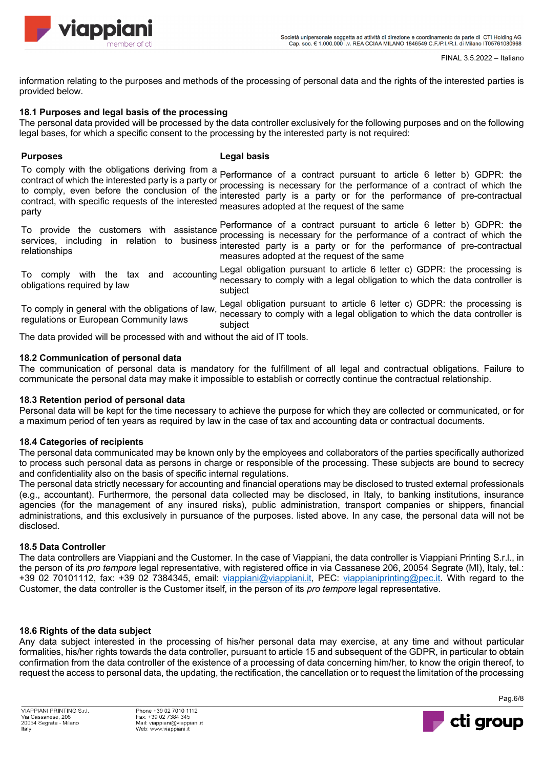

FINAL 3.5.2022 – Italiano

information relating to the purposes and methods of the processing of personal data and the rights of the interested parties is provided below.

# **18.1 Purposes and legal basis of the processing**

The personal data provided will be processed by the data controller exclusively for the following purposes and on the following legal bases, for which a specific consent to the processing by the interested party is not required:

# **Purposes Legal basis**

To comply with the obligations deriving from a contract of which the interested party is a party or contract of which the interested party is a party of processing is necessary for the performance of a contract of which the<br>to comply, even before the conclusion of the interested perty is a perty or for the performance of contract, with specific requests of the interested party Performance of a contract pursuant to article 6 letter b) GDPR: the interested party is a party or for the performance of pre-contractual measures adopted at the request of the same

To provide the customers with assistance services, including in relation to business relationships Performance of a contract pursuant to article 6 letter b) GDPR: the processing is necessary for the performance of a contract of which the interested party is a party or for the performance of pre-contractual measures adopted at the request of the same

To comply with the tax and accounting obligations required by law Legal obligation pursuant to article 6 letter c) GDPR: the processing is necessary to comply with a legal obligation to which the data controller is subject

To comply in general with the obligations of law, regulations or European Community laws Legal obligation pursuant to article 6 letter c) GDPR: the processing is necessary to comply with a legal obligation to which the data controller is subject

The data provided will be processed with and without the aid of IT tools.

# **18.2 Communication of personal data**

The communication of personal data is mandatory for the fulfillment of all legal and contractual obligations. Failure to communicate the personal data may make it impossible to establish or correctly continue the contractual relationship.

# **18.3 Retention period of personal data**

Personal data will be kept for the time necessary to achieve the purpose for which they are collected or communicated, or for a maximum period of ten years as required by law in the case of tax and accounting data or contractual documents.

# **18.4 Categories of recipients**

The personal data communicated may be known only by the employees and collaborators of the parties specifically authorized to process such personal data as persons in charge or responsible of the processing. These subjects are bound to secrecy and confidentiality also on the basis of specific internal regulations.

The personal data strictly necessary for accounting and financial operations may be disclosed to trusted external professionals (e.g., accountant). Furthermore, the personal data collected may be disclosed, in Italy, to banking institutions, insurance agencies (for the management of any insured risks), public administration, transport companies or shippers, financial administrations, and this exclusively in pursuance of the purposes. listed above. In any case, the personal data will not be disclosed.

# **18.5 Data Controller**

The data controllers are Viappiani and the Customer. In the case of Viappiani, the data controller is Viappiani Printing S.r.l., in the person of its *pro tempore* legal representative, with registered office in via Cassanese 206, 20054 Segrate (MI), Italy, tel.: +39 02 70101112, fax: +39 02 7384345, email: viappiani@viappiani.it, PEC: viappianiprinting@pec.it. With regard to the Customer, the data controller is the Customer itself, in the person of its *pro tempore* legal representative.

# **18.6 Rights of the data subject**

Any data subject interested in the processing of his/her personal data may exercise, at any time and without particular formalities, his/her rights towards the data controller, pursuant to article 15 and subsequent of the GDPR, in particular to obtain confirmation from the data controller of the existence of a processing of data concerning him/her, to know the origin thereof, to request the access to personal data, the updating, the rectification, the cancellation or to request the limitation of the processing

VIAPPIANI PRINTING S r I Via Cassanese, 206<br>20054 Segrate - Milano Italy



Pag.6/8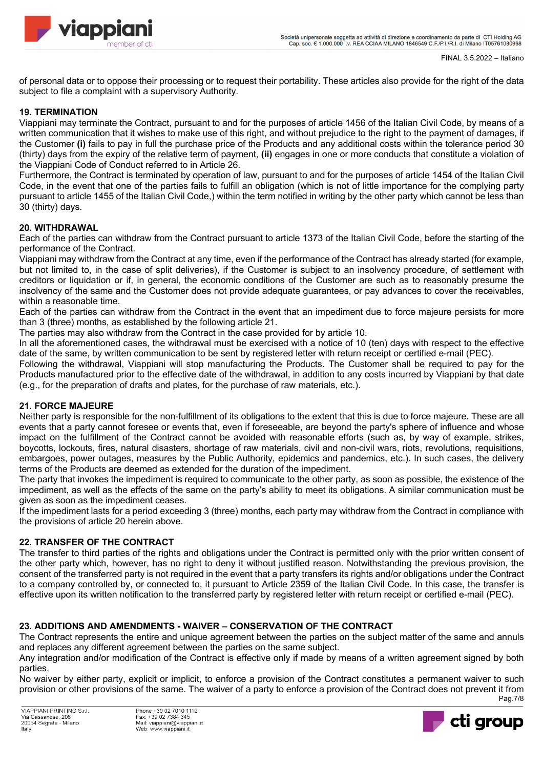of personal data or to oppose their processing or to request their portability. These articles also provide for the right of the data subject to file a complaint with a supervisory Authority.

# **19. TERMINATION**

Viappiani may terminate the Contract, pursuant to and for the purposes of article 1456 of the Italian Civil Code, by means of a written communication that it wishes to make use of this right, and without prejudice to the right to the payment of damages, if the Customer **(i)** fails to pay in full the purchase price of the Products and any additional costs within the tolerance period 30 (thirty) days from the expiry of the relative term of payment, **(ii)** engages in one or more conducts that constitute a violation of the Viappiani Code of Conduct referred to in Article 26.

Furthermore, the Contract is terminated by operation of law, pursuant to and for the purposes of article 1454 of the Italian Civil Code, in the event that one of the parties fails to fulfill an obligation (which is not of little importance for the complying party pursuant to article 1455 of the Italian Civil Code,) within the term notified in writing by the other party which cannot be less than 30 (thirty) days.

# **20. WITHDRAWAL**

Each of the parties can withdraw from the Contract pursuant to article 1373 of the Italian Civil Code, before the starting of the performance of the Contract.

Viappiani may withdraw from the Contract at any time, even if the performance of the Contract has already started (for example, but not limited to, in the case of split deliveries), if the Customer is subject to an insolvency procedure, of settlement with creditors or liquidation or if, in general, the economic conditions of the Customer are such as to reasonably presume the insolvency of the same and the Customer does not provide adequate guarantees, or pay advances to cover the receivables, within a reasonable time.

Each of the parties can withdraw from the Contract in the event that an impediment due to force majeure persists for more than 3 (three) months, as established by the following article 21.

The parties may also withdraw from the Contract in the case provided for by article 10.

In all the aforementioned cases, the withdrawal must be exercised with a notice of 10 (ten) days with respect to the effective date of the same, by written communication to be sent by registered letter with return receipt or certified e-mail (PEC).

Following the withdrawal, Viappiani will stop manufacturing the Products. The Customer shall be required to pay for the Products manufactured prior to the effective date of the withdrawal, in addition to any costs incurred by Viappiani by that date (e.g., for the preparation of drafts and plates, for the purchase of raw materials, etc.).

# **21. FORCE MAJEURE**

Neither party is responsible for the non-fulfillment of its obligations to the extent that this is due to force majeure. These are all events that a party cannot foresee or events that, even if foreseeable, are beyond the party's sphere of influence and whose impact on the fulfillment of the Contract cannot be avoided with reasonable efforts (such as, by way of example, strikes, boycotts, lockouts, fires, natural disasters, shortage of raw materials, civil and non-civil wars, riots, revolutions, requisitions, embargoes, power outages, measures by the Public Authority, epidemics and pandemics, etc.). In such cases, the delivery terms of the Products are deemed as extended for the duration of the impediment.

The party that invokes the impediment is required to communicate to the other party, as soon as possible, the existence of the impediment, as well as the effects of the same on the party's ability to meet its obligations. A similar communication must be given as soon as the impediment ceases.

If the impediment lasts for a period exceeding 3 (three) months, each party may withdraw from the Contract in compliance with the provisions of article 20 herein above.

# **22. TRANSFER OF THE CONTRACT**

The transfer to third parties of the rights and obligations under the Contract is permitted only with the prior written consent of the other party which, however, has no right to deny it without justified reason. Notwithstanding the previous provision, the consent of the transferred party is not required in the event that a party transfers its rights and/or obligations under the Contract to a company controlled by, or connected to, it pursuant to Article 2359 of the Italian Civil Code. In this case, the transfer is effective upon its written notification to the transferred party by registered letter with return receipt or certified e-mail (PEC).

# **23. ADDITIONS AND AMENDMENTS - WAIVER – CONSERVATION OF THE CONTRACT**

The Contract represents the entire and unique agreement between the parties on the subject matter of the same and annuls and replaces any different agreement between the parties on the same subject.

Any integration and/or modification of the Contract is effective only if made by means of a written agreement signed by both parties.

Pag.7/8 No waiver by either party, explicit or implicit, to enforce a provision of the Contract constitutes a permanent waiver to such provision or other provisions of the same. The waiver of a party to enforce a provision of the Contract does not prevent it from